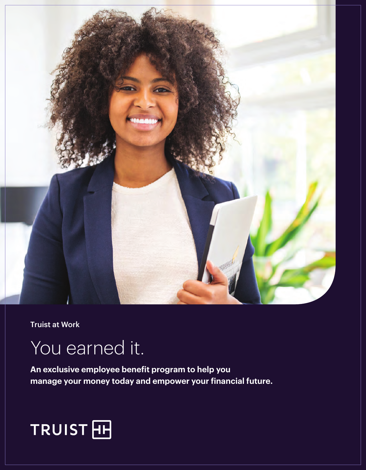

Truist at Work

## You earned it.

**An exclusive employee benefit program to help you manage your money today and empower your financial future.**

# TRUIST<sub>EH</sub>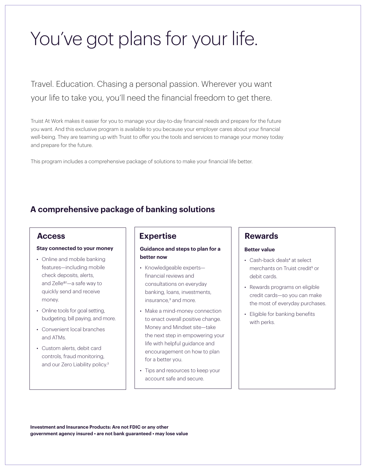## You've got plans for your life.

Travel. Education. Chasing a personal passion. Wherever you want your life to take you, you'll need the financial freedom to get there.

Truist At Work makes it easier for you to manage your day-to-day financial needs and prepare for the future you want. And this exclusive program is available to you because your employer cares about your financial well-being. They are teaming up with Truist to offer you the tools and services to manage your money today and prepare for the future.

This program includes a comprehensive package of solutions to make your financial life better.

### **A comprehensive package of banking solutions**

### **Access**

#### **Stay connected to your money**

- Online and mobile banking features—including mobile check deposits, alerts, and Zelle®1 —a safe way to quickly send and receive money.
- Online tools for goal setting, budgeting, bill paying, and more.
- Convenient local branches and ATMs.
- Custom alerts, debit card controls, fraud monitoring, and our Zero Liability policy.<sup>2</sup>

### **Expertise**

#### **Guidance and steps to plan for a better now**

- Knowledgeable experts financial reviews and consultations on everyday banking, loans, investments, insurance,<sup>3</sup> and more.
- Make a mind-money connection to enact overall positive change. Money and Mindset site—take the next step in empowering your life with helpful guidance and encouragement on how to plan for a better you.
- Tips and resources to keep your account safe and secure.

### **Rewards**

#### **Better value**

- Cash-back deals<sup>4</sup> at select merchants on Truist credit<sup>5</sup> or debit cards.
- Rewards programs on eligible credit cards—so you can make the most of everyday purchases.
- Eligible for banking benefits with perks.

**Investment and Insurance Products: Are not FDIC or any other government agency insured • are not bank guaranteed • may lose value**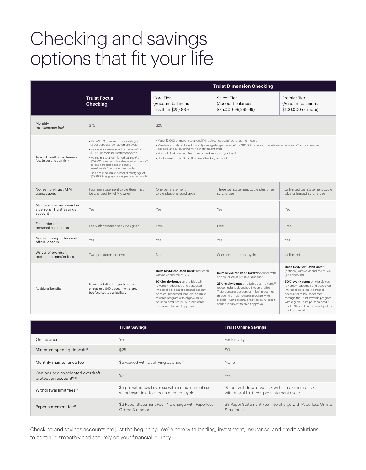## Checking and savings options that fit your life

|                                                                   |                                                                                                                                                                                                                                                                                                                                                                                                                                                                                                         | <b>Truist Dimension Checking</b>                                                                                                                                                                                                                                                                                                                                                                                                                                       |                                                                                                                                                                                                                                                                                                                                                                                                              |                                                                                                                                                                                                                                                                                                                                                                                                                       |
|-------------------------------------------------------------------|---------------------------------------------------------------------------------------------------------------------------------------------------------------------------------------------------------------------------------------------------------------------------------------------------------------------------------------------------------------------------------------------------------------------------------------------------------------------------------------------------------|------------------------------------------------------------------------------------------------------------------------------------------------------------------------------------------------------------------------------------------------------------------------------------------------------------------------------------------------------------------------------------------------------------------------------------------------------------------------|--------------------------------------------------------------------------------------------------------------------------------------------------------------------------------------------------------------------------------------------------------------------------------------------------------------------------------------------------------------------------------------------------------------|-----------------------------------------------------------------------------------------------------------------------------------------------------------------------------------------------------------------------------------------------------------------------------------------------------------------------------------------------------------------------------------------------------------------------|
|                                                                   | <b>Truist Focus</b><br><b>Checking</b>                                                                                                                                                                                                                                                                                                                                                                                                                                                                  | Core Tier<br>(Account balances<br>less than \$25,000)                                                                                                                                                                                                                                                                                                                                                                                                                  | Select Tier<br>(Account balances<br>\$25,000-99,999.99)                                                                                                                                                                                                                                                                                                                                                      | <b>Premier Tier</b><br>(Account balances<br>\$100,000 or more)                                                                                                                                                                                                                                                                                                                                                        |
| Monthly<br>maintenance fee <sup>6</sup>                           | \$15                                                                                                                                                                                                                                                                                                                                                                                                                                                                                                    | \$20                                                                                                                                                                                                                                                                                                                                                                                                                                                                   |                                                                                                                                                                                                                                                                                                                                                                                                              |                                                                                                                                                                                                                                                                                                                                                                                                                       |
| To avoid monthly maintenance<br>fees (meet one qualifier)         | · Make \$750 or more in total qualifying<br>direct deposits <sup>7</sup> per statement cycle.<br>· Maintain an average ledger balance <sup>8</sup> of<br>\$1,000 or more per statement cycle.<br>· Maintain a total combined balance <sup>9</sup> of<br>\$15,000 or more in Truist-related accounts <sup>to</sup><br>across personal deposits and all<br>investments <sup>11</sup> per statement cycle.<br>· Link a related Truist personal mortgage of<br>\$150,000+ aggregate (original loan amount). | · Make \$3,000 or more in total qualifying direct deposits <sup>7</sup> per statement cycle.<br>• Maintain a total combined monthly average ledger balance89 of \$10,000 or more in Truist-related accounts <sup>10</sup> across personal<br>deposits and all investments <sup>11</sup> per statement cycle.<br>· Have a linked personal Truist credit card, mortgage, or loan. <sup>12</sup><br>. Hold a linked Truist Small Business Checking account. <sup>13</sup> |                                                                                                                                                                                                                                                                                                                                                                                                              |                                                                                                                                                                                                                                                                                                                                                                                                                       |
| No-fee non-Truist ATM<br>transactions                             | Four per statement cycle (fees may<br>be charged by ATM owner)                                                                                                                                                                                                                                                                                                                                                                                                                                          | One per statement<br>cycle plus one surcharge                                                                                                                                                                                                                                                                                                                                                                                                                          | Three per statement cycle plus three<br>surcharges                                                                                                                                                                                                                                                                                                                                                           | Unlimited per statement cycle<br>plus unlimited surcharges                                                                                                                                                                                                                                                                                                                                                            |
| Maintenance fee waived on<br>a personal Truist Savings<br>account | Yes                                                                                                                                                                                                                                                                                                                                                                                                                                                                                                     | Yes                                                                                                                                                                                                                                                                                                                                                                                                                                                                    | Yes                                                                                                                                                                                                                                                                                                                                                                                                          | Yes                                                                                                                                                                                                                                                                                                                                                                                                                   |
| First order of<br>personalized checks                             | Fee with certain check designs <sup>14</sup>                                                                                                                                                                                                                                                                                                                                                                                                                                                            | Free                                                                                                                                                                                                                                                                                                                                                                                                                                                                   | Free                                                                                                                                                                                                                                                                                                                                                                                                         | Free                                                                                                                                                                                                                                                                                                                                                                                                                  |
| No-fee money orders and<br>official checks                        | Yes                                                                                                                                                                                                                                                                                                                                                                                                                                                                                                     | Yes                                                                                                                                                                                                                                                                                                                                                                                                                                                                    | Yes                                                                                                                                                                                                                                                                                                                                                                                                          | Yes                                                                                                                                                                                                                                                                                                                                                                                                                   |
| Waiver of overdraft<br>protection transfer fees                   | Two per statement cycle                                                                                                                                                                                                                                                                                                                                                                                                                                                                                 | <b>No</b>                                                                                                                                                                                                                                                                                                                                                                                                                                                              | One per statement cycle                                                                                                                                                                                                                                                                                                                                                                                      | Unlimited                                                                                                                                                                                                                                                                                                                                                                                                             |
| <b>Additional benefits</b>                                        | Receive a 3x5 safe deposit box at no<br>charge or a \$40 discount on a larger<br>box (subject to availability).                                                                                                                                                                                                                                                                                                                                                                                         | Delta SkyMiles® Debit Card <sup>15</sup> (optional)<br>with an annual fee of \$95<br>10% loyalty bonus on eligible cash<br>rewards <sup>16</sup> redeemed and deposited<br>into an eligible Truist personal account<br>or miles <sup>17</sup> redeemed through the Truist<br>rewards program with eligible Truist<br>personal credit cards. All credit cards<br>are subject to credit approval.                                                                        | Delta SkyMiles® Debit Card <sup>15</sup> (optional) with<br>an annual fee of \$75 (\$20 discount)<br>25% loyalty bonus on eligible cash rewards <sup>16</sup><br>redeemed and deposited into an eligible<br>Truist personal account or miles <sup>17</sup> redeemed<br>through the Truist rewards program with<br>eligible Truist personal credit cards. All credit<br>cards are subject to credit approval. | Delta SkyMiles® Debit Card <sup>15</sup><br>(optional) with an annual fee of \$25<br>(\$70 discount)<br>50% loyalty bonus on eligible cash<br>rewards <sup>16</sup> redeemed and deposited<br>into an eligible Truist personal<br>account or miles <sup>17</sup> redeemed<br>through the Truist rewards program<br>with eligible Truist personal credit<br>cards. All credit cards are subject to<br>credit approval. |

|                                                                        | <b>Truist Savings</b>                                                                          | <b>Truist Online Savings</b>                                                                   |
|------------------------------------------------------------------------|------------------------------------------------------------------------------------------------|------------------------------------------------------------------------------------------------|
| Online access                                                          | Yes                                                                                            | Exclusively                                                                                    |
| Minimum opening deposit <sup>18</sup>                                  | \$25                                                                                           | \$0                                                                                            |
| Monthly maintenance fee                                                | \$5 waived with qualifying balance <sup>19</sup>                                               | None                                                                                           |
| Can be used as selected overdraft<br>protection account? <sup>18</sup> | Yes                                                                                            | <b>Yes</b>                                                                                     |
| Withdrawal limit fees <sup>20</sup>                                    | \$5 per withdrawal over six with a maximum of six<br>withdrawal limit fees per statement cycle | \$5 per withdrawal over six with a maximum of six<br>withdrawal limit fees per statement cycle |
| Paper statement fee <sup>21</sup>                                      | \$3 Paper Statement Fee - No charge with Paperless<br>Online Statement                         | \$3 Paper Statement Fee - No charge with Paperless Online<br>Statement                         |

Checking and savings accounts are just the beginning. We're here with lending, investment, insurance, and credit solutions to continue smoothly and securely on your financial journey.